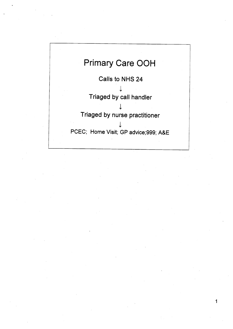

1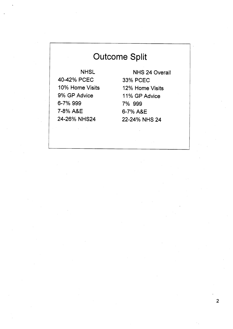## Outcome Split

40-42% PCEC 33% PCEC 10% Home Visits 9% GP Advice 6-7% 999 7% 999 74% A&E **6-7%** A&E

NHSL NHS 24 Overall 22-24% NHS 24 12% Home Visits 11% GP Advice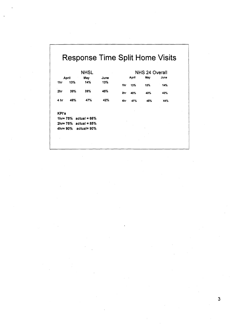## Response Time Split Home Visits

| April<br>1hr<br>2hr | 13%<br>39% | May<br>14%<br>39%        | June<br>13%<br>45% | 1hr | April<br>13% | May<br>15% | June |
|---------------------|------------|--------------------------|--------------------|-----|--------------|------------|------|
|                     |            |                          |                    |     |              |            |      |
|                     |            |                          |                    |     |              |            | 14%  |
|                     |            |                          |                    | 2hr | 40%          | 40%        | 42%  |
| 4 hr                | 48%        | 47%                      | 42%                | 4hr | 47%          | 45%        | 44%  |
|                     |            |                          |                    |     |              |            |      |
| <b>KPI's</b>        |            | $1hr = 75%$ actual = 66% |                    |     |              |            |      |
|                     |            | $2hr = 75%$ actual = 85% |                    |     |              |            |      |
| 4hr= 90%            |            | actual= 90%              |                    |     |              |            |      |
|                     |            |                          |                    |     |              |            |      |
|                     |            |                          |                    |     |              |            |      |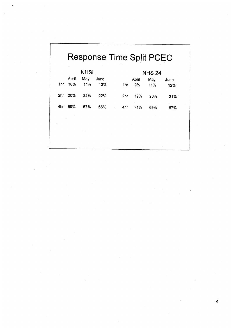|     |       | <b>NHSL</b> |      |     | <b>NHS 24</b> |     |      |  |  |
|-----|-------|-------------|------|-----|---------------|-----|------|--|--|
|     | April | May         | June |     | April         | May | June |  |  |
| 1hr | 10%   | 11%         | 13%  | 1hr | 9%            | 11% | 12%  |  |  |
| 2hr | 20%   | 22%         | 22%  | 2hr | 19%           | 20% | 21%  |  |  |
| 4hr | 69%   | 67%         | 66%  | 4hr | 71%           | 69% | 67%  |  |  |
|     |       |             |      |     |               |     |      |  |  |
|     |       |             |      |     |               |     |      |  |  |
|     |       |             |      |     |               |     |      |  |  |

 $\sim$   $\sigma$  .

**4**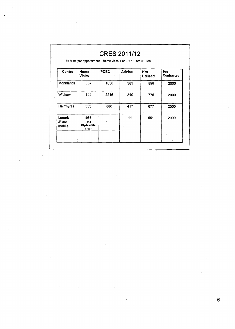| <b>Centre</b>              | Home<br><b>Visits</b>               | <b>PCEC</b> | Advice | <b>Hrs</b><br><b>Utilised</b> | Hrs<br>Contracted |
|----------------------------|-------------------------------------|-------------|--------|-------------------------------|-------------------|
| Monklands                  | 357                                 | 1638        | 383    | 898                           | 2000              |
| Wishaw                     | 144                                 | 2216        | 310    | 776<br>$\hat{\mathbf{v}}$     | 2000              |
| Hairmyres                  | 353                                 | 880         | 417    | 677                           | 2000              |
| Lanark<br>/Extra<br>mobile | 461<br>(181)<br>Clydesdale<br>area) |             | 11     | 551                           | 2000              |

 $\ddot{\phantom{a}}$ 

**6**